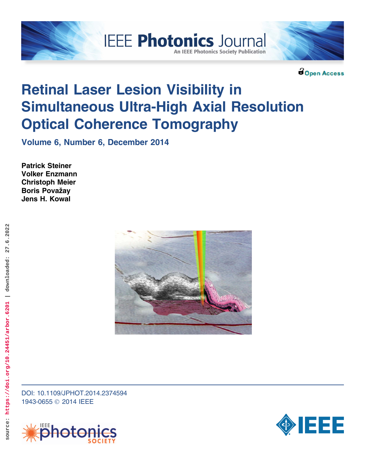



**BOpen Access** 

# Retinal Laser Lesion Visibility in Simultaneous Ultra-High Axial Resolution Optical Coherence Tomography

**IEEE Photonics Journal** 

**An IEEE Photonics Society Publication** 

Volume 6, Number 6, December 2014

Patrick Steiner Volker Enzmann Christoph Meier Boris Považay Jens H. Kowal



DOI: 10.1109/JPHOT.2014.2374594 1943-0655 Ó 2014 IEEE



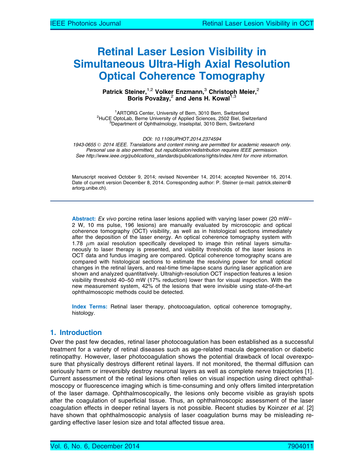# Retinal Laser Lesion Visibility in Simultaneous Ultra-High Axial Resolution Optical Coherence Tomography

#### Patrick Steiner,<sup>1,2</sup> Volker Enzmann,<sup>3</sup> Christoph Meier,<sup>2</sup> Boris Považay, $^2$  and Jens H. Kowal<sup>1,3</sup>

<sup>1</sup> ARTORG Center, University of Bern, 3010 Bern, Switzerland<br><sup>2</sup>HuCE OptoLab, Berne University of Applied Sciences, 2502 Biel, Sw <sup>2</sup>HuCE OptoLab, Berne University of Applied Sciences, 2502 Biel, Switzerland <sup>3</sup>Department of Ophthalmology, Inselspital, 3010 Bern, Switzerland

DOI: 10.1109/JPHOT.2014.2374594

1943-0655 © 2014 IEEE. Translations and content mining are permitted for academic research only. Personal use is also permitted, but republication/redistribution requires IEEE permission. See http://www.ieee.org/publications\_standards/publications/rights/index.html for more information.

Manuscript received October 9, 2014; revised November 14, 2014; accepted November 16, 2014. Date of current version December 8, 2014. Corresponding author: P. Steiner (e-mail: patrick.steiner@ artorg.unibe.ch).

Abstract: Ex vivo porcine retina laser lesions applied with varying laser power (20 mW– 2 W, 10 ms pulse, 196 lesions) are manually evaluated by microscopic and optical coherence tomography (OCT) visibility, as well as in histological sections immediately after the deposition of the laser energy. An optical coherence tomography system with 1.78  $\mu$ m axial resolution specifically developed to image thin retinal layers simultaneously to laser therapy is presented, and visibility thresholds of the laser lesions in OCT data and fundus imaging are compared. Optical coherence tomography scans are compared with histological sections to estimate the resolving power for small optical changes in the retinal layers, and real-time time-lapse scans during laser application are shown and analyzed quantitatively. Ultrahigh-resolution OCT inspection features a lesion visibility threshold 40–50 mW (17% reduction) lower than for visual inspection. With the new measurement system, 42% of the lesions that were invisible using state-of-the-art ophthalmoscopic methods could be detected.

Index Terms: Retinal laser therapy, photocoagulation, optical coherence tomography, histology.

# 1. Introduction

Over the past few decades, retinal laser photocoagulation has been established as a successful treatment for a variety of retinal diseases such as age-related macula degeneration or diabetic retinopathy. However, laser photocoagulation shows the potential drawback of local overexposure that physically destroys different retinal layers. If not monitored, the thermal diffusion can seriously harm or irreversibly destroy neuronal layers as well as complete nerve trajectories [1]. Current assessment of the retinal lesions often relies on visual inspection using direct ophthalmoscopy or fluorescence imaging which is time-consuming and only offers limited interpretation of the laser damage. Ophthalmoscopically, the lesions only become visible as grayish spots after the coagulation of superficial tissue. Thus, an ophthalmoscopic assessment of the laser coagulation effects in deeper retinal layers is not possible. Recent studies by Koinzer et al. [2] have shown that ophthalmoscopic analysis of laser coagulation burns may be misleading regarding effective laser lesion size and total affected tissue area.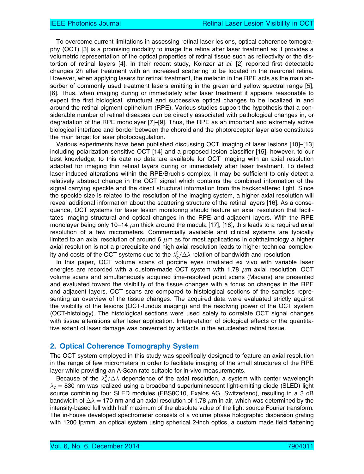To overcome current limitations in assessing retinal laser lesions, optical coherence tomography (OCT) [3] is a promising modality to image the retina after laser treatment as it provides a volumetric representation of the optical properties of retinal tissue such as reflectivity or the distortion of retinal layers [4]. In their recent study, Koinzer at al. [2] reported first detectable changes 2h after treatment with an increased scattering to be located in the neuronal retina. However, when applying lasers for retinal treatment, the melanin in the RPE acts as the main absorber of commonly used treatment lasers emitting in the green and yellow spectral range [5], [6]. Thus, when imaging during or immediately after laser treatment it appears reasonable to expect the first biological, structural and successive optical changes to be localized in and around the retinal pigment epithelium (RPE). Various studies support the hypothesis that a considerable number of retinal diseases can be directly associated with pathological changes in, or degradation of the RPE monolayer [7]–[9]. Thus, the RPE as an important and extremely active biological interface and border between the choroid and the photoreceptor layer also constitutes the main target for laser photocoagulation.

Various experiments have been published discussing OCT imaging of laser lesions [10]–[13] including polarization sensitive OCT [14] and a proposed lesion classifier [15], however, to our best knowledge, to this date no data are available for OCT imaging with an axial resolution adapted for imaging thin retinal layers during or immediately after laser treatment. To detect laser induced alterations within the RPE/Bruch's complex, it may be sufficient to only detect a relatively abstract change in the OCT signal which contains the combined information of the signal carrying speckle and the direct structural information from the backscattered light. Since the speckle size is related to the resolution of the imaging system, a higher axial resolution will reveal additional information about the scattering structure of the retinal layers [16]. As a consequence, OCT systems for laser lesion monitoring should feature an axial resolution that facilitates imaging structural and optical changes in the RPE and adjacent layers. With the RPE monolayer being only 10–14  $\mu$ m thick around the macula [17], [18], this leads to a required axial resolution of a few micrometers. Commercially available and clinical systems are typically limited to an axial resolution of around 6  $\mu$ m as for most applications in ophthalmology a higher axial resolution is not a prerequisite and high axial resolution leads to higher technical complexity and costs of the OCT systems due to the  $\lambda_c^2/\Delta\lambda$  relation of bandwidth and resolution.

In this paper, OCT volume scans of porcine eyes irradiated ex vivo with variable laser energies are recorded with a custom-made OCT system with 1.78  $\mu$ m axial resolution. OCT volume scans and simultaneously acquired time-resolved point scans (Mscans) are presented and evaluated toward the visibility of the tissue changes with a focus on changes in the RPE and adjacent layers. OCT scans are compared to histological sections of the samples representing an overview of the tissue changes. The acquired data were evaluated strictly against the visibility of the lesions (OCT-fundus imaging) and the resolving power of the OCT system (OCT-histology). The histological sections were used solely to correlate OCT signal changes with tissue alterations after laser application. Interpretation of biological effects or the quantitative extent of laser damage was prevented by artifacts in the enucleated retinal tissue.

## 2. Optical Coherence Tomography System

The OCT system employed in this study was specifically designed to feature an axial resolution in the range of few micrometers in order to facilitate imaging of the small structures of the RPE layer while providing an A-Scan rate suitable for in-vivo measurements.

Because of the  $\lambda_c^2/\Delta\lambda$  dependence of the axial resolution, a system with center wavelength  $\lambda_c = 830$  nm was realized using a broadband superluminescent light-emitting diode (SLED) light source combining four SLED modules (EBS8C10, Exalos AG, Switzerland), resulting in a 3 dB bandwidth of  $\Delta\lambda = 170$  nm and an axial resolution of 1.78  $\mu$ m in air, which was determined by the intensity-based full width half maximum of the absolute value of the light source Fourier transform. The in-house developed spectrometer consists of a volume phase holographic dispersion grating with 1200 lp/mm, an optical system using spherical 2-inch optics, a custom made field flattening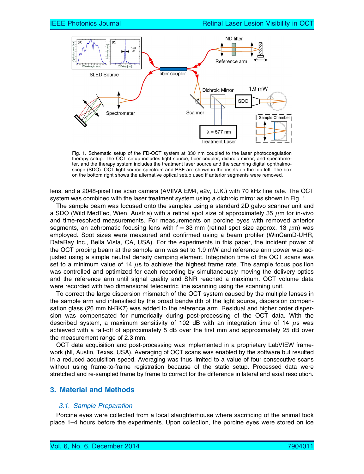

Fig. 1. Schematic setup of the FD-OCT system at 830 nm coupled to the laser photocoagulation therapy setup. The OCT setup includes light source, fiber coupler, dichroic mirror, and spectrometer, and the therapy system includes the treatment laser source and the scanning digital ophthalmoscope (SDO). OCT light source spectrum and PSF are shown in the insets on the top left. The box on the bottom right shows the alternative optical setup used if anterior segments were removed.

lens, and a 2048-pixel line scan camera (AVIIVA EM4, e2v, U.K.) with 70 kHz line rate. The OCT system was combined with the laser treatment system using a dichroic mirror as shown in Fig. 1.

The sample beam was focused onto the samples using a standard 2D galvo scanner unit and a SDO (Wild MedTec, Wien, Austria) with a retinal spot size of approximately 35  $\mu$ m for in-vivo and time-resolved measurements. For measurements on porcine eyes with removed anterior segments, an achromatic focusing lens with  $f = 33$  mm (retinal spot size approx. 13  $\mu$ m) was employed. Spot sizes were measured and confirmed using a beam profiler (WinCamD-UHR, DataRay Inc., Bella Vista, CA, USA). For the experiments in this paper, the incident power of the OCT probing beam at the sample arm was set to 1.9 mW and reference arm power was adjusted using a simple neutral density damping element. Integration time of the OCT scans was set to a minimum value of 14  $\mu$ s to achieve the highest frame rate. The sample focus position was controlled and optimized for each recording by simultaneously moving the delivery optics and the reference arm until signal quality and SNR reached a maximum. OCT volume data were recorded with two dimensional telecentric line scanning using the scanning unit.

To correct the large dispersion mismatch of the OCT system caused by the multiple lenses in the sample arm and intensified by the broad bandwidth of the light source, dispersion compensation glass (26 mm N-BK7) was added to the reference arm. Residual and higher order dispersion was compensated for numerically during post-processing of the OCT data. With the described system, a maximum sensitivity of 102 dB with an integration time of 14  $\mu$ s was achieved with a fall-off of approximately 5 dB over the first mm and approximately 25 dB over the measurement range of 2.3 mm.

OCT data acquisition and post-processing was implemented in a proprietary LabVIEW framework (NI, Austin, Texas, USA). Averaging of OCT scans was enabled by the software but resulted in a reduced acquisition speed. Averaging was thus limited to a value of four consecutive scans without using frame-to-frame registration because of the static setup. Processed data were stretched and re-sampled frame by frame to correct for the difference in lateral and axial resolution.

### 3. Material and Methods

#### 3.1. Sample Preparation

Porcine eyes were collected from a local slaughterhouse where sacrificing of the animal took place 1–4 hours before the experiments. Upon collection, the porcine eyes were stored on ice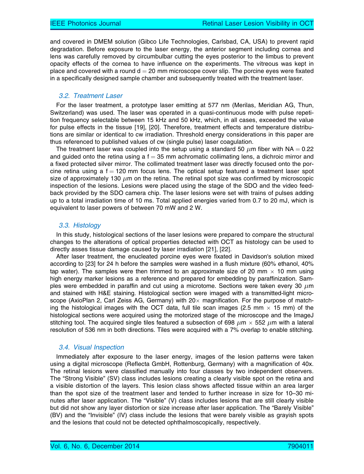and covered in DMEM solution (Gibco Life Technologies, Carlsbad, CA, USA) to prevent rapid degradation. Before exposure to the laser energy, the anterior segment including cornea and lens was carefully removed by circumbulbar cutting the eyes posterior to the limbus to prevent opacity effects of the cornea to have influence on the experiments. The vitreous was kept in place and covered with a round  $d = 20$  mm microscope cover slip. The porcine eyes were fixated in a specifically designed sample chamber and subsequently treated with the treatment laser.

#### 3.2. Treatment Laser

For the laser treatment, a prototype laser emitting at 577 nm (Merilas, Meridian AG, Thun, Switzerland) was used. The laser was operated in a quasi-continuous mode with pulse repetition frequency selectable between 15 kHz and 50 kHz, which, in all cases, exceeded the value for pulse effects in the tissue [19], [20]. Therefore, treatment effects and temperature distributions are similar or identical to cw irradiation. Threshold energy considerations in this paper are thus referenced to published values of cw (single pulse) laser coagulation.

The treatment laser was coupled into the setup using a standard 50  $\mu$ m fiber with NA = 0.22 and guided onto the retina using a  $f = 35$  mm achromatic collimating lens, a dichroic mirror and a fixed protected silver mirror. The collimated treatment laser was directly focused onto the porcine retina using a  $f = 120$  mm focus lens. The optical setup featured a treatment laser spot size of approximately 130  $\mu$ m on the retina. The retinal spot size was confirmed by microscopic inspection of the lesions. Lesions were placed using the stage of the SDO and the video feedback provided by the SDO camera chip. The laser lesions were set with trains of pulses adding up to a total irradiation time of 10 ms. Total applied energies varied from 0.7 to 20 mJ, which is equivalent to laser powers of between 70 mW and 2 W.

#### 3.3. Histology

In this study, histological sections of the laser lesions were prepared to compare the structural changes to the alterations of optical properties detected with OCT as histology can be used to directly asses tissue damage caused by laser irradiation [21], [22].

After laser treatment, the enucleated porcine eyes were fixated in Davidson's solution mixed according to [23] for 24 h before the samples were washed in a flush mixture (60% ethanol, 40% tap water). The samples were then trimmed to an approximate size of 20 mm  $\times$  10 mm using high energy marker lesions as a reference and prepared for embedding by paraffinization. Samples were embedded in paraffin and cut using a microtome. Sections were taken every 30  $\mu$ m and stained with H&E staining. Histological section were imaged with a transmitted-light microscope (AxioPlan 2, Carl Zeiss AG, Germany) with  $20\times$  magnification. For the purpose of matching the histological images with the OCT data, full tile scan images (2.5 mm  $\times$  15 mm) of the histological sections were acquired using the motorized stage of the microscope and the ImageJ stitching tool. The acquired single tiles featured a subsection of 698  $\mu$ m  $\times$  552  $\mu$ m with a lateral resolution of 536 nm in both directions. Tiles were acquired with a 7% overlap to enable stitching.

#### 3.4. Visual Inspection

Immediately after exposure to the laser energy, images of the lesion patterns were taken using a digital microscope (Reflecta GmbH, Rottenburg, Germany) with a magnification of 40x. The retinal lesions were classified manually into four classes by two independent observers. The "Strong Visible" (SV) class includes lesions creating a clearly visible spot on the retina and a visible distortion of the layers. This lesion class shows affected tissue within an area larger than the spot size of the treatment laser and tended to further increase in size for 10–30 minutes after laser application. The "Visible" (V) class includes lesions that are still clearly visible but did not show any layer distortion or size increase after laser application. The "Barely Visible" (BV) and the "Invisible" (IV) class include the lesions that were barely visible as grayish spots and the lesions that could not be detected ophthalmoscopically, respectively.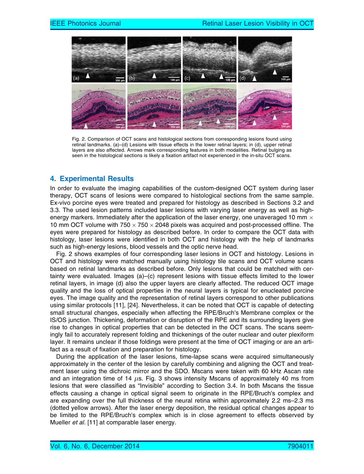

Fig. 2. Comparison of OCT scans and histological sections from corresponding lesions found using retinal landmarks. (a)–(d) Lesions with tissue effects in the lower retinal layers; in (d), upper retinal layers are also affected. Arrows mark corresponding features in both modalities. Retinal bulging as seen in the histological sections is likely a fixation artifact not experienced in the in-situ OCT scans.

#### 4. Experimental Results

In order to evaluate the imaging capabilities of the custom-designed OCT system during laser therapy, OCT scans of lesions were compared to histological sections from the same sample. Ex-vivo porcine eyes were treated and prepared for histology as described in Sections 3.2 and 3.3. The used lesion patterns included laser lesions with varying laser energy as well as highenergy markers. Immediately after the application of the laser energy, one unaveraged 10 mm  $\times$ 10 mm OCT volume with  $750 \times 750 \times 2048$  pixels was acquired and post-processed offline. The eyes were prepared for histology as described before. In order to compare the OCT data with histology, laser lesions were identified in both OCT and histology with the help of landmarks such as high-energy lesions, blood vessels and the optic nerve head.

Fig. 2 shows examples of four corresponding laser lesions in OCT and histology. Lesions in OCT and histology were matched manually using histology tile scans and OCT volume scans based on retinal landmarks as described before. Only lesions that could be matched with certainty were evaluated. Images (a)–(c) represent lesions with tissue effects limited to the lower retinal layers, in image (d) also the upper layers are clearly affected. The reduced OCT image quality and the loss of optical properties in the neural layers is typical for enucleated porcine eyes. The image quality and the representation of retinal layers correspond to other publications using similar protocols [11], [24]. Nevertheless, it can be noted that OCT is capable of detecting small structural changes, especially when affecting the RPE/Bruch's Membrane complex or the IS/OS junction. Thickening, deformation or disruption of the RPE and its surrounding layers give rise to changes in optical properties that can be detected in the OCT scans. The scans seemingly fail to accurately represent folding and thickenings of the outer nuclear and outer plexiform layer. It remains unclear if those foldings were present at the time of OCT imaging or are an artifact as a result of fixation and preparation for histology.

During the application of the laser lesions, time-lapse scans were acquired simultaneously approximately in the center of the lesion by carefully combining and aligning the OCT and treatment laser using the dichroic mirror and the SDO. Mscans were taken with 60 kHz Ascan rate and an integration time of 14  $\mu$ s. Fig. 3 shows intensity Mscans of approximately 40 ms from lesions that were classified as "Invisible" according to Section 3.4. In both Mscans the tissue effects causing a change in optical signal seem to originate in the RPE/Bruch's complex and are expanding over the full thickness of the neural retina within approximately 2.2 ms–2.3 ms (dotted yellow arrows). After the laser energy deposition, the residual optical changes appear to be limited to the RPE/Bruch's complex which is in close agreement to effects observed by Mueller *et al.* [11] at comparable laser energy.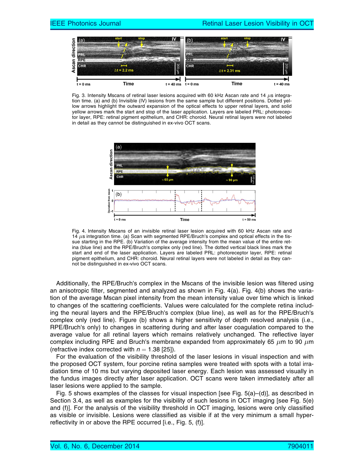

Fig. 3. Intensity Mscans of retinal laser lesions acquired with 60 kHz Ascan rate and 14  $\mu$ s integration time. (a) and (b) Invisible (IV) lesions from the same sample but different positions. Dotted yellow arrows highlight the outward expansion of the optical effects to upper retinal layers, and solid yellow arrows mark the start and stop of the laser application. Layers are labeled PRL: photoreceptor layer, RPE: retinal pigment epithelium, and CHR: choroid. Neural retinal layers were not labeled in detail as they cannot be distinguished in ex-vivo OCT scans.



Fig. 4. Intensity Mscans of an invisible retinal laser lesion acquired with 60 kHz Ascan rate and 14  $\mu$ s integration time. (a) Scan with segmented RPE/Bruch's complex and optical effects in the tissue starting in the RPE. (b) Variation of the average intensity from the mean value of the entire retina (blue line) and the RPE/Bruch's complex only (red line). The dotted vertical black lines mark the start and end of the laser application. Layers are labeled PRL: photoreceptor layer, RPE: retinal pigment epithelium, and CHR: choroid. Neural retinal layers were not labeled in detail as they cannot be distinguished in ex-vivo OCT scans.

Additionally, the RPE/Bruch's complex in the Mscans of the invisible lesion was filtered using an anisotropic filter, segmented and analyzed as shown in Fig. 4(a). Fig. 4(b) shows the variation of the average Mscan pixel intensity from the mean intensity value over time which is linked to changes of the scattering coefficients. Values were calculated for the complete retina including the neural layers and the RPE/Bruch's complex (blue line), as well as for the RPE/Bruch's complex only (red line). Figure (b) shows a higher sensitivity of depth resolved analysis (i.e., RPE/Bruch's only) to changes in scattering during and after laser coagulation compared to the average value for all retinal layers which remains relatively unchanged. The reflective layer complex including RPE and Bruch's membrane expanded from approximately 65  $\mu$ m to 90  $\mu$ m (refractive index corrected with  $n = 1.38$  [25]).

For the evaluation of the visibility threshold of the laser lesions in visual inspection and with the proposed OCT system, four porcine retina samples were treated with spots with a total irradiation time of 10 ms but varying deposited laser energy. Each lesion was assessed visually in the fundus images directly after laser application. OCT scans were taken immediately after all laser lesions were applied to the sample.

Fig. 5 shows examples of the classes for visual inspection [see Fig. 5(a)–(d)], as described in Section 3.4, as well as examples for the visibility of such lesions in OCT imaging [see Fig. 5(e) and (f)]. For the analysis of the visibility threshold in OCT imaging, lesions were only classified as visible or invisible. Lesions were classified as visible if at the very minimum a small hyperreflectivity in or above the RPE occurred [i.e., Fig. 5, (f)].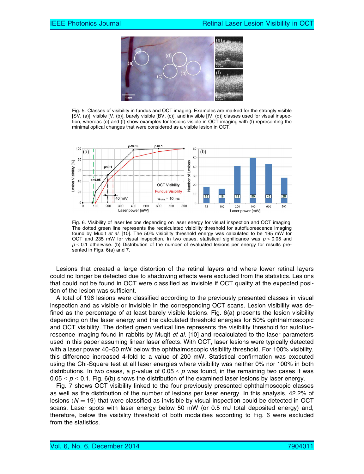

Fig. 5. Classes of visibility in fundus and OCT imaging. Examples are marked for the strongly visible [SV, (a)], visible [V, (b)], barely visible [BV, (c)], and invisible [IV, (d)] classes used for visual inspection, whereas (e) and (f) show examples for lesions visible in OCT imaging with (f) representing the minimal optical changes that were considered as a visible lesion in OCT.



Fig. 6. Visibility of laser lesions depending on laser energy for visual inspection and OCT imaging. The dotted green line represents the recalculated visibility threshold for autofluorescence imaging found by Muqit et al. [10]. The 50% visibility threshold energy was calculated to be 195 mW for OCT and 235 mW for visual inspection. In two cases, statistical significance was  $p < 0.05$  and  $p < 0.1$  otherwise. (b) Distribution of the number of evaluated lesions per energy for results presented in Figs. 6(a) and 7.

Lesions that created a large distortion of the retinal layers and where lower retinal layers could no longer be detected due to shadowing effects were excluded from the statistics. Lesions that could not be found in OCT were classified as invisible if OCT quality at the expected position of the lesion was sufficient.

A total of 196 lesions were classified according to the previously presented classes in visual inspection and as visible or invisible in the corresponding OCT scans. Lesion visibility was defined as the percentage of at least barely visible lesions. Fig. 6(a) presents the lesion visibility depending on the laser energy and the calculated threshold energies for 50% ophthalmoscopic and OCT visibility. The dotted green vertical line represents the visibility threshold for autofluorescence imaging found in rabbits by Muqit et al. [10] and recalculated to the laser parameters used in this paper assuming linear laser effects. With OCT, laser lesions were typically detected with a laser power 40–50 mW below the ophthalmoscopic visibility threshold. For 100% visibility, this difference increased 4-fold to a value of 200 mW. Statistical confirmation was executed using the Chi-Square test at all laser energies where visibility was neither 0% nor 100% in both distributions. In two cases, a p-value of  $0.05 < p$  was found, in the remaining two cases it was  $0.05 < p < 0.1$ . Fig. 6(b) shows the distribution of the examined laser lesions by laser energy.

Fig. 7 shows OCT visibility linked to the four previously presented ophthalmoscopic classes as well as the distribution of the number of lesions per laser energy. In this analysis, 42.2% of lesions  $(N = 19)$  that were classified as invisible by visual inspection could be detected in OCT scans. Laser spots with laser energy below 50 mW (or 0.5 mJ total deposited energy) and, therefore, below the visibility threshold of both modalities according to Fig. 6 were excluded from the statistics.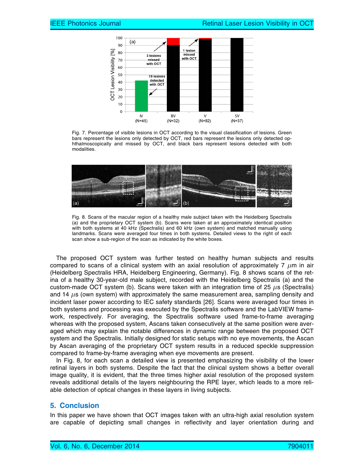

Fig. 7. Percentage of visible lesions in OCT according to the visual classification of lesions. Green bars represent the lesions only detected by OCT, red bars represent the lesions only detected ophthalmoscopically and missed by OCT, and black bars represent lesions detected with both modalities.



Fig. 8. Scans of the macular region of a healthy male subject taken with the Heidelberg Spectralis (a) and the proprietary OCT system (b). Scans were taken at an approximately identical position with both systems at 40 kHz (Spectralis) and 60 kHz (own system) and matched manually using landmarks. Scans were averaged four times in both systems. Detailed views to the right of each scan show a sub-region of the scan as indicated by the white boxes.

The proposed OCT system was further tested on healthy human subjects and results compared to scans of a clinical system with an axial resolution of approximately 7  $\mu$ m in air (Heidelberg Spectralis HRA, Heidelberg Engineering, Germany). Fig. 8 shows scans of the retina of a healthy 30-year-old male subject, recorded with the Heidelberg Spectralis (a) and the custom-made OCT system (b). Scans were taken with an integration time of 25  $\mu$ s (Spectralis) and 14  $\mu$ s (own system) with approximately the same measurement area, sampling density and incident laser power according to IEC safety standards [26]. Scans were averaged four times in both systems and processing was executed by the Spectralis software and the LabVIEW framework, respectively. For averaging, the Spectralis software used frame-to-frame averaging whereas with the proposed system, Ascans taken consecutively at the same position were averaged which may explain the notable differences in dynamic range between the proposed OCT system and the Spectralis. Initially designed for static setups with no eye movements, the Ascan by Ascan averaging of the proprietary OCT system results in a reduced speckle suppression compared to frame-by-frame averaging when eye movements are present.

In Fig. 8, for each scan a detailed view is presented emphasizing the visibility of the lower retinal layers in both systems. Despite the fact that the clinical system shows a better overall image quality, it is evident, that the three times higher axial resolution of the proposed system reveals additional details of the layers neighbouring the RPE layer, which leads to a more reliable detection of optical changes in these layers in living subjects.

#### 5. Conclusion

In this paper we have shown that OCT images taken with an ultra-high axial resolution system are capable of depicting small changes in reflectivity and layer orientation during and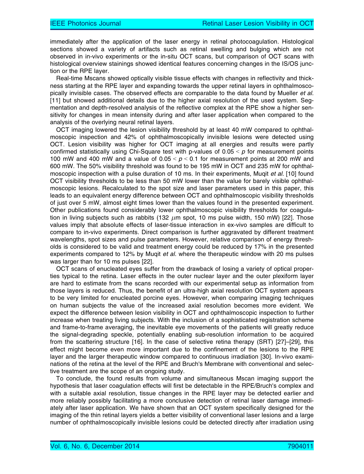immediately after the application of the laser energy in retinal photocoagulation. Histological sections showed a variety of artifacts such as retinal swelling and bulging which are not observed in in-vivo experiments or the in-situ OCT scans, but comparison of OCT scans with histological overview stainings showed identical features concerning changes in the IS/OS junction or the RPE layer.

Real-time Mscans showed optically visible tissue effects with changes in reflectivity and thickness starting at the RPE layer and expanding towards the upper retinal layers in ophthalmoscopically invisible cases. The observed effects are comparable to the data found by Mueller et al. [11] but showed additional details due to the higher axial resolution of the used system. Segmentation and depth-resolved analysis of the reflective complex at the RPE show a higher sensitivity for changes in mean intensity during and after laser application when compared to the analysis of the overlying neural retinal layers.

OCT imaging lowered the lesion visibility threshold by at least 40 mW compared to ophthalmoscopic inspection and 42% of ophthalmoscopically invisible lesions were detected using OCT. Lesion visibility was higher for OCT imaging at all energies and results were partly confirmed statistically using Chi-Square test with p-values of  $0.05 < p$  for measurement points 100 mW and 400 mW and a value of  $0.05 < p < 0.1$  for measurement points at 200 mW and 600 mW. The 50% visibility threshold was found to be 195 mW in OCT and 235 mW for ophthalmoscopic inspection with a pulse duration of 10 ms. In their experiments, Muqit *et al.* [10] found OCT visibility thresholds to be less than 50 mW lower than the value for barely visible ophthalmoscopic lesions. Recalculated to the spot size and laser parameters used in this paper, this leads to an equivalent energy difference between OCT and ophthalmoscopic visibility thresholds of just over 5 mW, almost eight times lower than the values found in the presented experiment. Other publications found considerably lower ophthalmoscopic visibility thresholds for coagulation in living subjects such as rabbits (132  $\mu$ m spot, 10 ms pulse width, 150 mW) [22]. Those values imply that absolute effects of laser-tissue interaction in ex-vivo samples are difficult to compare to in-vivo experiments. Direct comparison is further aggravated by different treatment wavelengths, spot sizes and pulse parameters. However, relative comparison of energy thresholds is considered to be valid and treatment energy could be reduced by 17% in the presented experiments compared to 12% by Muqit *et al.* where the therapeutic window with 20 ms pulses was larger than for 10 ms pulses [22].

OCT scans of enucleated eyes suffer from the drawback of losing a variety of optical properties typical to the retina. Laser effects in the outer nuclear layer and the outer plexiform layer are hard to estimate from the scans recorded with our experimental setup as information from those layers is reduced. Thus, the benefit of an ultra-high axial resolution OCT system appears to be very limited for enucleated porcine eyes. However, when comparing imaging techniques on human subjects the value of the increased axial resolution becomes more evident. We expect the difference between lesion visibility in OCT and ophthalmoscopic inspection to further increase when treating living subjects. With the inclusion of a sophisticated registration scheme and frame-to-frame averaging, the inevitable eye movements of the patients will greatly reduce the signal-degrading speckle, potentially enabling sub-resolution information to be acquired from the scattering structure [16]. In the case of selective retina therapy (SRT) [27]–[29], this effect might become even more important due to the confinement of the lesions to the RPE layer and the larger therapeutic window compared to continuous irradiation [30]. In-vivo examinations of the retina at the level of the RPE and Bruch's Membrane with conventional and selective treatment are the scope of an ongoing study.

To conclude, the found results from volume and simultaneous Mscan imaging support the hypothesis that laser coagulation effects will first be detectable in the RPE/Bruch's complex and with a suitable axial resolution, tissue changes in the RPE layer may be detected earlier and more reliably possibly facilitating a more conclusive detection of retinal laser damage immediately after laser application. We have shown that an OCT system specifically designed for the imaging of the thin retinal layers yields a better visibility of conventional laser lesions and a large number of ophthalmoscopically invisible lesions could be detected directly after irradiation using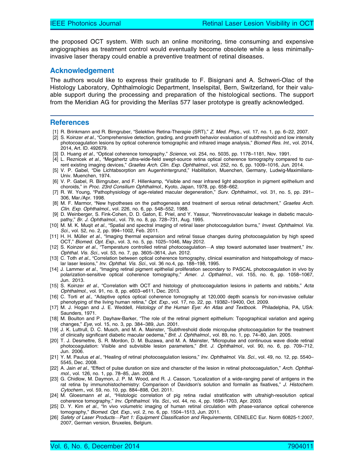the proposed OCT system. With such an online monitoring, time consuming and expensive angiographies as treatment control would eventually become obsolete while a less minimallyinvasive laser therapy could enable a preventive treatment of retinal diseases.

#### Acknowledgement

The authors would like to express their gratitude to F. Bisignani and A. Schweri-Olac of the Histology Laboratory, Ophthalmologic Department, Inselspital, Bern, Switzerland, for their valuable support during the processing and preparation of the histological sections. The support from the Meridian AG for providing the Merilas 577 laser prototype is greatly acknowledged.

#### **References**

- [1] R. Brinkmann and R. Birngruber, "Selektive Retina-Therapie (SRT)," Z. Med. Phys., vol. 17, no. 1, pp. 6–22, 2007.
- [2] S. Koinzer et al., "Comprehensive detection, grading, and growth behavior evaluation of subthreshold and low intensity photocoagulation lesions by optical coherence tomographic and infrared image analysis," Biomed Res. Int., vol. 2014, 2014, Art. ID. 492679.
- [3] D. Huang et al., "Optical coherence tomography," Science, vol. 254, no. 5035, pp. 1178–1181, Nov. 1991.
- [4] L. Reznicek et al., "Megahertz ultra-wide-field swept-source retina optical coherence tomography compared to current existing imaging devices," Graefes Arch. Clin. Exp. Ophthalmol., vol. 252, no. 6, pp. 1009–1016, Jun. 2014.
- [5] V. P. Gabel, "Die Lichtabsorption am Augenhintergrund," Habilitation, Muenchen, Germany, Ludwig-Maximilians-Univ. Muenchen, 1974.
- [6] V. P. Gabel, R. Birngruber, and F. Hillenkamp, "Visible and near infrared light absorption in pigment epithelium and choroids," in Proc. 23rd Consilium Ophthalmol., Kyoto, Japan, 1978, pp. 658-662.
- [7] R. W. Young, "Pathophysiology of age-related macular degeneration," Surv. Ophthalmol., vol. 31, no. 5, pp. 291– 306, Mar./Apr. 1998.
- [8] M. F. Marmor, "New hypotheses on the pathogenesis and treatment of serous retinal detachment," Graefes Arch. Clin. Exp. Ophthalmol., vol. 226, no. 6, pp. 548–552, 1988.
- [9] D. Weinberger, S. Fink-Cohen, D. D. Gaton, E. Priel, and Y. Yassur, "Nonretinovascular leakage in diabetic maculopathy," Br. J. Ophthalmol., vol. 79, no. 8, pp. 728–731, Aug. 1995.
- [10] M. M. K. Muqit et al., "Spatial and spectral imaging of retinal laser photocoagulation burns," Invest. Ophthalmol. Vis. Sci., vol. 52, no. 2, pp. 994–1002, Feb. 2011.
- [11] H. H. Müller *et al.*, "Imaging thermal expansion and retinal tissue changes during photocoagulation by high speed OCT," Biomed. Opt. Exp., vol. 3, no. 5, pp. 1025–1046, May 2012.
- [12] S. Koinzer et al., "Temperature controlled retinal photocoagulation-A step toward automated laser treatment," Inv. Ophthal. Vis. Sci., vol. 53, no. 7, pp. 3605–3614, Jun. 2012.
- [13] C. Toth et al., "Correlation between optical coherence tomography, clinical examination and histopathology of macular laser lesions," Inv. Ophthal. Vis. Sci., vol. 36 no.4, pp. 188-198, 1995.
- [14] J. Lammer et al., "Imaging retinal pigment epithelial proliferation secondary to PASCAL photocoagulation in vivo by polarization-sensitive optical coherence tomography," Amer. J. Opthalmol., vol. 155, no. 6, pp. 1058-1067, Jun. 2013.
- [15] S. Koinzer et al., "Correlation with OCT and histology of photocoagulation lesions in patients and rabbits," Acta Ophthalmol., vol. 91, no. 8, pp. e603–e611, Dec. 2013.
- [16] C. Torti et al., "Adaptive optics optical coherence tomography at 120,000 depth scans/s for non-invasive cellular phenotyping of the living human retina," Opt. Exp., vol. 17, no. 22, pp. 19382-19400, Oct. 2009.
- [17] M. J. Hogan and J. E. Weddell, Histology of the Human Eye: An Atlas and Textbook. Philadelphia, PA, USA: Saunders, 1971.
- [18] M. Boulton and P. Dayhaw-Barker, "The role of the retinal pigment epithelium: Topographical variation and ageing changes," Eye, vol. 15, no. 3, pp. 384–389, Jun. 2001.
- [19] J. K. Luttrull, D. C. Musch, and M. A. Mainster, "Subthreshold diode micropulse photocoagulation for the treatment of clinically significant diabetic macular oedema," Brit. J. Ophthalmol., vol. 89, no. 1, pp. 74–80, Jan. 2005.
- [20] T. J. Desmettre, S. R. Mordon, D. M. Buzawa, and M. A. Mainster, "Micropulse and continuous wave diode retinal photocoagulation: Visible and subvisible lesion parameters," Brit. J. Ophthalmol., vol. 90, no. 6, pp. 709–712, Jun. 2006.
- [21] Y. M. Paulus et al., "Healing of retinal photocoagulation lesions," Inv. Ophthalmol. Vis. Sci., vol. 49, no. 12, pp. 5540– 5545, Dec. 2008.
- [22] A. Jain et al., "Effect of pulse duration on size and character of the lesion in retinal photocoagulation," Arch. Ophthalmol., vol. 126, no. 1, pp. 78–85, Jan. 2008.
- [23] G. Chidlow, M. Daymon, J. P. M. Wood, and R. J. Casson, "Localization of a wide-ranging panel of antigens in the rat retina by immunohistochemistry: Comparison of Davidson's solution and formalin as fixatives," J. Histochem. Cytochem., vol. 59, no. 10, pp. 884–898, Oct. 2011.
- [24] M. Gloesmann et al., "Histologic correlation of pig retina radial stratification with ultrahigh-resolution optical coherence tomography," Inv. Ophthalmol. Vis. Sci., vol. 44, no. 4, pp. 1696–1703, Apr. 2003.
- [25] D. Y. Kim et al., "In vivo volumetric imaging of human retinal circulation with phase-variance optical coherence tomography," Biomed. Opt. Exp., vol. 2, no. 6, pp. 1504–1513, Jun. 2011.
- [26] Safety of Laser Products—Part 1: Equipment Classification and Requirements, CENELEC Eur. Norm 60825-1:2007, 2007, German version, Bruxeles, Belgium.